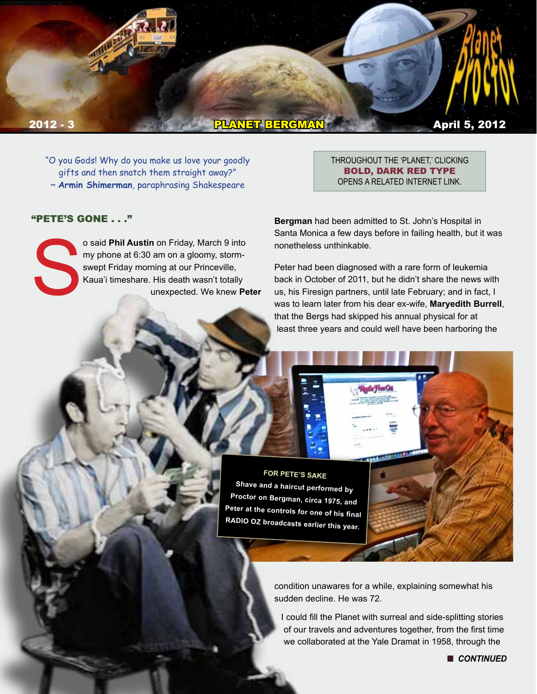

"O you Gods! Why do you make us love your goodly gifts and then snatch them straight away?" ~ **Armin Shimerman**, paraphrasing Shakespeare

#### "PETE'S GONE . . ."

o said **Phil Austin** on Friday, March 9 into<br>my phone at 6:30 am on a gloomy, storm-<br>swept Friday morning at our Princeville,<br>Kaua'i timeshare. His death wasn't totally<br>unexpected. We knew Pe my phone at 6:30 am on a gloomy, stormswept Friday morning at our Princeville, Kaua'i timeshare. His death wasn't totally unexpected. We knew **Peter**  THROUGHOUT THE 'PLANET,' CLICKING BOLD, DARK RED TYPE OPENS A RELATED INTERNET LINK.

**Bergman** had been admitted to St. John's Hospital in Santa Monica a few days before in failing health, but it was nonetheless unthinkable.

Peter had been diagnosed with a rare form of leukemia back in October of 2011, but he didn't share the news with us, his Firesign partners, until late February; and in fact, I was to learn later from his dear ex-wife, **Maryedith Burrell**, that the Bergs had skipped his annual physical for at least three years and could well have been harboring the

**FOR PETE'S SAKE Shave and a haircut performed by Proctor on Bergman, circa 1975, and Peter at the controls for one of his final RADIO OZ broadcasts earlier this year.**

> condition unawares for a while, explaining somewhat his sudden decline. He was 72.

I could fill the Planet with surreal and side-splitting stories of our travels and adventures together, from the first time we collaborated at the Yale Dramat in 1958, through the

**n** CONTINUED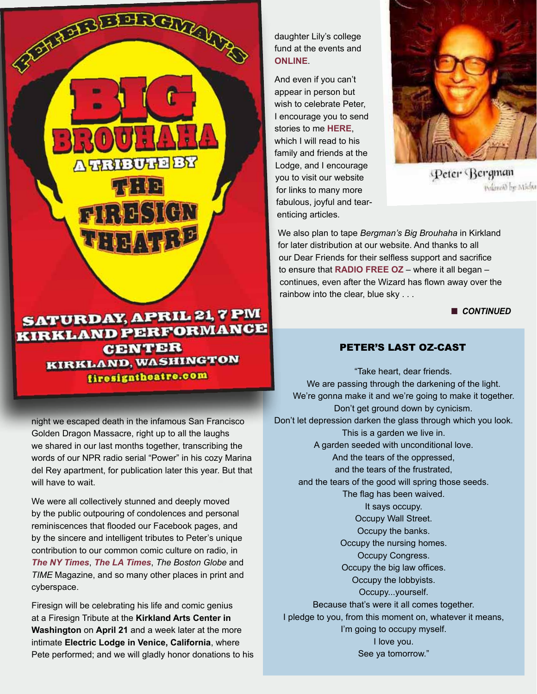## **SATURDAY, APRIL 21, 7 PM KIRKLAND PERFORMANCE CENTER** KIRKLAND, WASHINGTON firesigntheatre.com

FERENTIAL AND

**A TRIBUTE BY** 

 $77:12$ 

**FIRESIGN** 

THE ATEP

night we escaped death in the infamous San Francisco Golden Dragon Massacre, right up to all the laughs we shared in our last months together, transcribing the words of our NPR radio serial "Power" in his cozy Marina del Rey apartment, for publication later this year. But that will have to wait.

We were all collectively stunned and deeply moved by the public outpouring of condolences and personal reminiscences that flooded our Facebook pages, and by the sincere and intelligent tributes to Peter's unique contribution to our common comic culture on radio, in *[The NY Times](http://www.nytimes.com/2012/03/10/arts/peter-bergman-satirist-at-firesign-theater-dies-at-72.html)*, *[The LA Times](http://articles.latimes.com/2012/mar/10/local/la-me-peter-bergman-20120310)*, *The Boston Globe* and *TIME* Magazine, and so many other places in print and cyberspace.

Firesign will be celebrating his life and comic genius at a Firesign Tribute at the **Kirkland Arts Center in Washington** on **April 21** and a week later at the more intimate **Electric Lodge in Venice, California**, where Pete performed; and we will gladly honor donations to his daughter Lily's college fund at the events and **[ONLINE](http://www.firesigntheatre.com)**.

And even if you can't appear in person but wish to celebrate Peter, I encourage you to send stories to me **[HERE](mailto:phil.proctor%40me.com?subject=Bergman%20Stories)**, which I will read to his family and friends at the Lodge, and I encourage you to visit our website for links to many more fabulous, joyful and tearenticing articles.



Peter Bergman Polaroid by Micha

We also plan to tape *Bergman's Big Brouhaha* in Kirkland for later distribution at our website. And thanks to all our Dear Friends for their selfless support and sacrifice to ensure that **[RADIO FREE O](http://www.radiofreeoz.com/)Z** – where it all began – continues, even after the Wizard has flown away over the rainbow into the clear, blue sky . . .

**n** CONTINUED

## PETER'S LAST OZ-CASt

"Take heart, dear friends. We are passing through the darkening of the light. We're gonna make it and we're going to make it together. Don't get ground down by cynicism. Don't let depression darken the glass through which you look. This is a garden we live in. A garden seeded with unconditional love. And the tears of the oppressed, and the tears of the frustrated, and the tears of the good will spring those seeds. The flag has been waived. It says occupy. Occupy Wall Street. Occupy the banks. Occupy the nursing homes. Occupy Congress. Occupy the big law offices. Occupy the lobbyists. Occupy...yourself. Because that's were it all comes together. I pledge to you, from this moment on, whatever it means, I'm going to occupy myself. I love you. See ya tomorrow."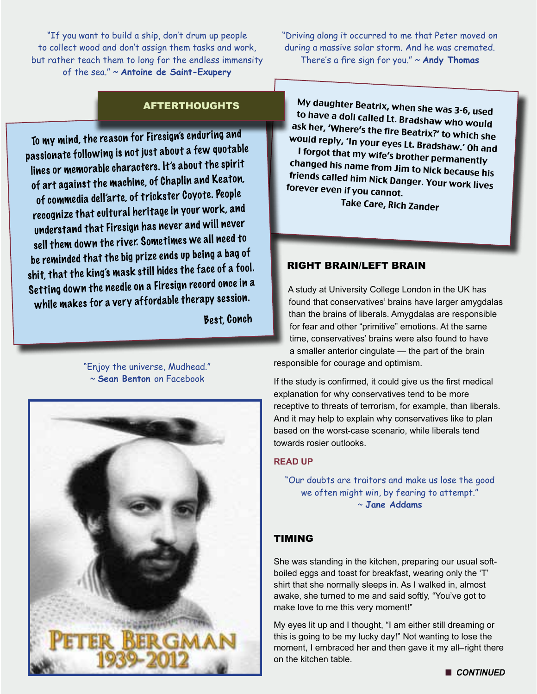"If you want to build a ship, don't drum up people to collect wood and don't assign them tasks and work, but rather teach them to long for the endless immensity of the sea." ~ **Antoine de Saint-Exupery**

"Driving along it occurred to me that Peter moved on during a massive solar storm. And he was cremated. There's a fire sign for you." ~ **Andy Thomas**

## AFTERTHOUGHTS

To my mind, the reason for Firesign's enduring and passionate following is not just about a few quotable lines or memorable characters. It's about the spirit of art against the machine, of Chaplin and Keaton, of commedia dell'arte, of trickster Coyote. People recognize that cultural heritage in your work, and understand that Firesign has never and will never sell them down the river. Sometimes we all need to be reminded that the big prize ends up being a bag of shit, that the king's mask still hides the face of a fool. Setting down the needle on a Firesign record once in a while makes for a very affordable therapy session.

Best, Conch

"Enjoy the universe, Mudhead." ~ **Sean Benton** on Facebook



My daughter Beatrix, when she was 3-6, used to have a doll called Lt. Bradshaw who would ask her, 'Where's the fire Beatrix?' to which she would reply, 'In your eyes Lt. Bradshaw.' Oh and I forgot that my wife's brother permanently changed his name from Jim to Nick because his friends called him Nick Danger. Your work lives forever even if you cannot.

Take Care, Rich Zander

#### RIGHT BRAIN/LEFT BRAIN

A study at University College London in the UK has found that conservatives' brains have larger amygdalas than the brains of liberals. Amygdalas are responsible for fear and other "primitive" emotions. At the same time, conservatives' brains were also found to have a smaller anterior cingulate — the part of the brain responsible for courage and optimism.

If the study is confirmed, it could give us the first medical explanation for why conservatives tend to be more receptive to threats of terrorism, for example, than liberals. And it may help to explain why conservatives like to plan based on the worst-case scenario, while liberals tend towards rosier outlooks.

#### **[READ UP](http://www.psychologytoday.com/blog/the-human-beast/201104/conservatives-big-fear-brain-study-finds)**

"Our doubts are traitors and make us lose the good we often might win, by fearing to attempt." ~ **Jane Addams**

## TIMING

She was standing in the kitchen, preparing our usual softboiled eggs and toast for breakfast, wearing only the 'T' shirt that she normally sleeps in. As I walked in, almost awake, she turned to me and said softly, "You've got to make love to me this very moment!"

My eyes lit up and I thought, "I am either still dreaming or this is going to be my lucky day!" Not wanting to lose the moment, I embraced her and then gave it my all–right there on the kitchen table.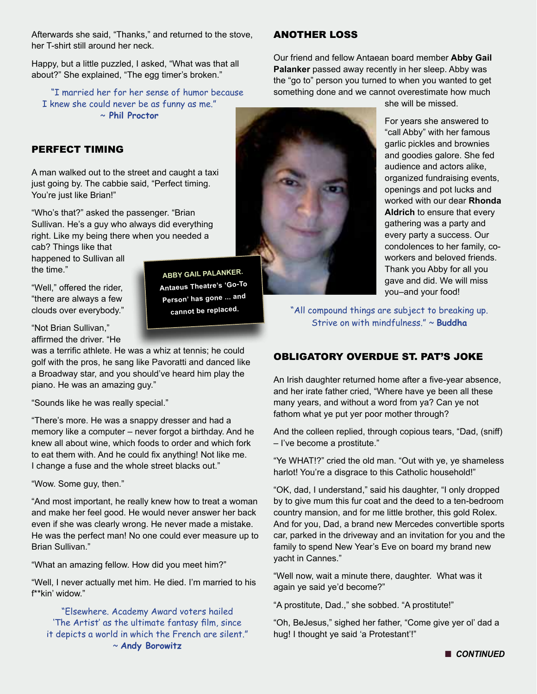Afterwards she said, "Thanks," and returned to the stove, her T-shirt still around her neck.

Happy, but a little puzzled, I asked, "What was that all about?" She explained, "The egg timer's broken."

"I married her for her sense of humor because I knew she could never be as funny as me." ~ **Phil Proctor**

## PERFECT TIMING

A man walked out to the street and caught a taxi just going by. The cabbie said, "Perfect timing. You're just like Brian!"

"Who's that?" asked the passenger. "Brian Sullivan. He's a guy who always did everything right. Like my being there when you needed a

cab? Things like that happened to Sullivan all the time."

"Well," offered the rider, "there are always a few clouds over everybody."

**ABBY GAIL PALANKER. Antaeus Theatre's 'Go-To Person' has gone ... and cannot be replaced.**

"Not Brian Sullivan," affirmed the driver. "He

was a terrific athlete. He was a whiz at tennis; he could golf with the pros, he sang like Pavoratti and danced like a Broadway star, and you should've heard him play the piano. He was an amazing guy."

"Sounds like he was really special."

"There's more. He was a snappy dresser and had a memory like a computer – never forgot a birthday. And he knew all about wine, which foods to order and which fork to eat them with. And he could fix anything! Not like me. I change a fuse and the whole street blacks out."

"Wow. Some guy, then."

"And most important, he really knew how to treat a woman and make her feel good. He would never answer her back even if she was clearly wrong. He never made a mistake. He was the perfect man! No one could ever measure up to Brian Sullivan."

"What an amazing fellow. How did you meet him?"

"Well, I never actually met him. He died. I'm married to his f\*\*kin' widow."

"Elsewhere. Academy Award voters hailed 'The Artist' as the ultimate fantasy film, since it depicts a world in which the French are silent." ~ **Andy Borowitz**

## ANOTHER LOSS

Our friend and fellow Antaean board member **Abby Gail Palanker** passed away recently in her sleep. Abby was the "go to" person you turned to when you wanted to get something done and we cannot overestimate how much



she will be missed.

For years she answered to "call Abby" with her famous garlic pickles and brownies and goodies galore. She fed audience and actors alike, organized fundraising events, openings and pot lucks and worked with our dear **Rhonda Aldrich** to ensure that every gathering was a party and every party a success. Our condolences to her family, coworkers and beloved friends. Thank you Abby for all you gave and did. We will miss you–and your food!

"All compound things are subject to breaking up. Strive on with mindfulness." ~ **Buddha**

## OBLIGATORY OVERDUE ST. PAT'S JOKE

An Irish daughter returned home after a five-year absence, and her irate father cried, "Where have ye been all these many years, and without a word from ya? Can ye not fathom what ye put yer poor mother through?

And the colleen replied, through copious tears, "Dad, (sniff) – I've become a prostitute."

"Ye WHAT!?" cried the old man. "Out with ye, ye shameless harlot! You're a disgrace to this Catholic household!"

"OK, dad, I understand," said his daughter, "I only dropped by to give mum this fur coat and the deed to a ten-bedroom country mansion, and for me little brother, this gold Rolex. And for you, Dad, a brand new Mercedes convertible sports car, parked in the driveway and an invitation for you and the family to spend New Year's Eve on board my brand new yacht in Cannes."

"Well now, wait a minute there, daughter. What was it again ye said ye'd become?"

"A prostitute, Dad.," she sobbed. "A prostitute!"

"Oh, BeJesus," sighed her father, "Come give yer ol' dad a hug! I thought ye said 'a Protestant'!"